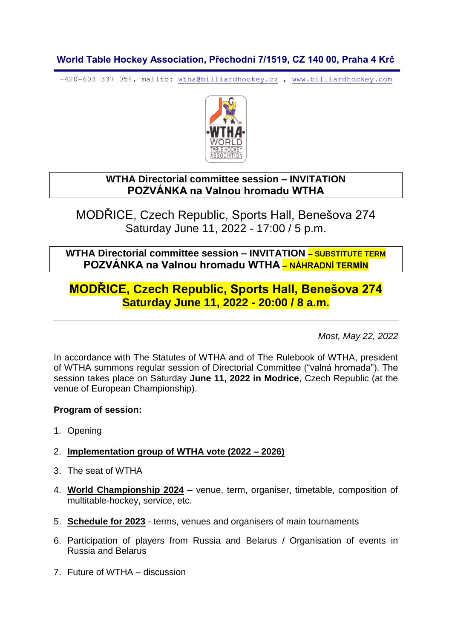## **World Table Hockey Association, Přechodní 7/1519, CZ 140 00, Praha 4 Krč**

+420-603 337 054, mailto: [wtha@billiardhockey.cz](mailto:wtha@billiardhockey.cz) , [www.billiardhockey.com](http://www.billiardhockey.com/)



## **WTHA Directorial committee session – INVITATION POZVÁNKA na Valnou hromadu WTHA**

MODŘICE, Czech Republic, Sports Hall, Benešova 274 Saturday June 11, 2022 - 17:00 / 5 p.m.

**WTHA Directorial committee session – INVITATION – SUBSTITUTE TERM POZVÁNKA na Valnou hromadu WTHA – NÁHRADNÍ TERMÍN**

# **MODŘICE, Czech Republic, Sports Hall, Benešova 274 Saturday June 11, 2022 - 20:00 / 8 a.m.**

*Most, May 22, 2022*

In accordance with The Statutes of WTHA and of The Rulebook of WTHA, president of WTHA summons regular session of Directorial Committee ("valná hromada"). The session takes place on Saturday **June 11, 2022 in Modrice**, Czech Republic (at the venue of European Championship).

### **Program of session:**

1. Opening

### 2. **Implementation group of WTHA vote (2022 – 2026)**

- 3. The seat of WTHA
- 4. **World Championship 2024** venue, term, organiser, timetable, composition of multitable-hockey, service, etc.
- 5. **Schedule for 2023** terms, venues and organisers of main tournaments
- 6. Participation of players from Russia and Belarus / Organisation of events in Russia and Belarus
- 7. Future of WTHA discussion